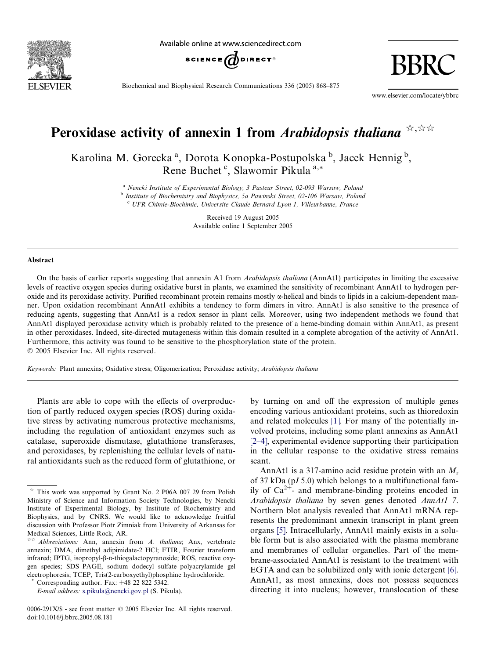

Available online at www.sciencedirect.com



Biochemical and Biophysical Research Communications 336 (2005) 868–875

www.elsevier.com/locate/ybbrc

BBRC

# Peroxidase activity of annexin 1 from Arabidopsis thaliana  $\forall x \forall x$

Karolina M. Gorecka<sup>a</sup>, Dorota Konopka-Postupolska b, Jacek Hennig b, Rene Buchet<sup>c</sup>, Slawomir Pikula<sup>a,\*</sup>

> <sup>a</sup> Nencki Institute of Experimental Biology, 3 Pasteur Street, 02-093 Warsaw, Poland <sup>b</sup> Institute of Biochemistry and Biophysics, 5a Pawinski Street, 02-106 Warsaw, Poland

 $c$  UFR Chimie-Biochimie, Universite Claude Bernard Lyon 1, Villeurbanne, France

Received 19 August 2005 Available online 1 September 2005

#### Abstract

On the basis of earlier reports suggesting that annexin A1 from Arabidopsis thaliana (AnnAt1) participates in limiting the excessive levels of reactive oxygen species during oxidative burst in plants, we examined the sensitivity of recombinant AnnAt1 to hydrogen peroxide and its peroxidase activity. Purified recombinant protein remains mostly a-helical and binds to lipids in a calcium-dependent manner. Upon oxidation recombinant AnnAt1 exhibits a tendency to form dimers in vitro. AnnAt1 is also sensitive to the presence of reducing agents, suggesting that AnnAt1 is a redox sensor in plant cells. Moreover, using two independent methods we found that AnnAt1 displayed peroxidase activity which is probably related to the presence of a heme-binding domain within AnnAt1, as present in other peroxidases. Indeed, site-directed mutagenesis within this domain resulted in a complete abrogation of the activity of AnnAt1. Furthermore, this activity was found to be sensitive to the phosphorylation state of the protein. 2005 Elsevier Inc. All rights reserved.

Keywords: Plant annexins; Oxidative stress; Oligomerization; Peroxidase activity; Arabidopsis thaliana

Plants are able to cope with the effects of overproduction of partly reduced oxygen species (ROS) during oxidative stress by activating numerous protective mechanisms, including the regulation of antioxidant enzymes such as catalase, superoxide dismutase, glutathione transferases, and peroxidases, by replenishing the cellular levels of natural antioxidants such as the reduced form of glutathione, or

0006-291X/\$ - see front matter © 2005 Elsevier Inc. All rights reserved. doi:10.1016/j.bbrc.2005.08.181

by turning on and off the expression of multiple genes encoding various antioxidant proteins, such as thioredoxin and related molecules [\[1\].](#page-6-0) For many of the potentially involved proteins, including some plant annexins as AnnAt1 [\[2–4\]](#page-6-0), experimental evidence supporting their participation in the cellular response to the oxidative stress remains scant.

AnnAt1 is a 317-amino acid residue protein with an  $M_r$ of 37 kDa (pI 5.0) which belongs to a multifunctional family of  $Ca^{2+}$ - and membrane-binding proteins encoded in Arabidopsis thaliana by seven genes denoted AnnAt1–7. Northern blot analysis revealed that AnnAt1 mRNA represents the predominant annexin transcript in plant green organs [\[5\].](#page-6-0) Intracellularly, AnnAt1 mainly exists in a soluble form but is also associated with the plasma membrane and membranes of cellular organelles. Part of the membrane-associated AnnAt1 is resistant to the treatment with EGTA and can be solubilized only with ionic detergent [\[6\]](#page-6-0). AnnAt1, as most annexins, does not possess sequences directing it into nucleus; however, translocation of these

 $*$  This work was supported by Grant No. 2 P06A 007 29 from Polish Ministry of Science and Information Society Technologies, by Nencki Institute of Experimental Biology, by Institute of Biochemistry and Biophysics, and by CNRS. We would like to acknowledge fruitful discussion with Professor Piotr Zimniak from University of Arkansas for Medical Sciences, Little Rock, AR.

 $\forall x \land Abbreviations:$  Ann, annexin from A. thaliana; Anx, vertebrate annexin; DMA, dimethyl adipimidate-2 HCl; FTIR, Fourier transform infrared; IPTG, isopropyl-β-D-thiogalactopyranoside; ROS, reactive oxygen species; SDS–PAGE, sodium dodecyl sulfate–polyacrylamide gel electrophoresis; TCEP, Tris(2-carboxyethyl)phosphine hydrochloride.

Corresponding author. Fax:  $+48$  22 822 5342.

E-mail address: [s.pikula@nencki.gov.pl](mailto:s.pikula@nencki.gov.pl) (S. Pikula).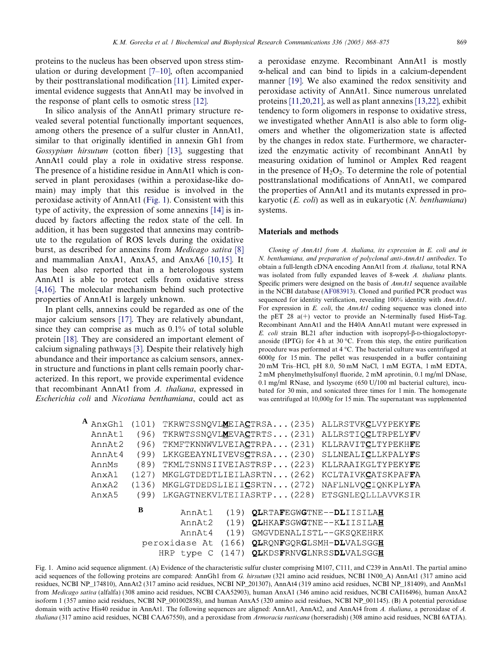<span id="page-1-0"></span>proteins to the nucleus has been observed upon stress stimulation or during development [\[7–10\]](#page-6-0), often accompanied by their posttranslational modification [\[11\]](#page-6-0). Limited experimental evidence suggests that AnnAt1 may be involved in the response of plant cells to osmotic stress [\[12\].](#page-6-0)

In silico analysis of the AnnAt1 primary structure revealed several potential functionally important sequences, among others the presence of a sulfur cluster in AnnAt1, similar to that originally identified in annexin Gh1 from Gossypium hirsutum (cotton fiber) [\[13\]](#page-6-0), suggesting that AnnAt1 could play a role in oxidative stress response. The presence of a histidine residue in AnnAt1 which is conserved in plant peroxidases (within a peroxidase-like domain) may imply that this residue is involved in the peroxidase activity of AnnAt1 (Fig. 1). Consistent with this type of activity, the expression of some annexins [\[14\]](#page-6-0) is induced by factors affecting the redox state of the cell. In addition, it has been suggested that annexins may contribute to the regulation of ROS levels during the oxidative burst, as described for annexins from Medicago sativa [\[8\]](#page-6-0) and mammalian AnxA1, AnxA5, and AnxA6 [\[10,15\]](#page-6-0). It has been also reported that in a heterologous system AnnAt1 is able to protect cells from oxidative stress [\[4,16\].](#page-6-0) The molecular mechanism behind such protective properties of AnnAt1 is largely unknown.

In plant cells, annexins could be regarded as one of the major calcium sensors [\[17\]](#page-6-0). They are relatively abundant, since they can comprise as much as 0.1% of total soluble protein [\[18\]](#page-6-0). They are considered an important element of calcium signaling pathways [\[3\]](#page-6-0). Despite their relatively high abundance and their importance as calcium sensors, annexin structure and functions in plant cells remain poorly characterized. In this report, we provide experimental evidence that recombinant AnnAt1 from A. thaliana, expressed in Escherichia coli and Nicotiana benthamiana, could act as

a peroxidase enzyme. Recombinant AnnAt1 is mostly a-helical and can bind to lipids in a calcium-dependent manner [\[19\]](#page-6-0). We also examined the redox sensitivity and peroxidase activity of AnnAt1. Since numerous unrelated proteins [\[11,20,21\]](#page-6-0), as well as plant annexins [\[13,22\]](#page-6-0), exhibit tendency to form oligomers in response to oxidative stress, we investigated whether AnnAt1 is also able to form oligomers and whether the oligomerization state is affected by the changes in redox state. Furthermore, we characterized the enzymatic activity of recombinant AnnAt1 by measuring oxidation of luminol or Amplex Red reagent in the presence of  $H_2O_2$ . To determine the role of potential posttranslational modifications of AnnAt1, we compared the properties of AnnAt1 and its mutants expressed in prokaryotic ( $E.$  coli) as well as in eukaryotic ( $N.$  benthamiana) systems.

#### Materials and methods

Cloning of AnnAt1 from A. thaliana, its expression in E. coli and in N. benthamiana, and preparation of polyclonal anti-AnnAt1 antibodies. To obtain a full-length cDNA encoding AnnAt1 from A. thaliana, total RNA was isolated from fully expanded leaves of 8-week A. thaliana plants. Specific primers were designed on the basis of *AnnAt1* sequence available in the NCBI database (AF083913). Cloned and purified PCR product was sequenced for identity verification, revealing 100% identity with AnnAt1. For expression in E. coli, the AnnAt1 coding sequence was cloned into the pET 28  $a(+)$  vector to provide an N-terminally fused His6-Tag. Recombinant AnnAt1 and the H40A AnnAt1 mutant were expressed in E. coli strain BL21 after induction with isopropyl- $\beta$ -D-thiogaloctopyranoside (IPTG) for 4 h at 30 °C. From this step, the entire purification procedure was performed at  $4^{\circ}$ C. The bacterial culture was centrifuged at 6000g for 15 min. The pellet was resuspended in a buffer containing 20 mM Tris–HCl, pH 8.0, 50 mM NaCl, 1 mM EGTA, 1 mM EDTA, 2 mM phenylmethylsulfonyl fluoride, 2 mM aprotinin, 0.1 mg/ml DNase, 0.1 mg/ml RNase, and lysozyme (650 U/100 ml bacterial culture), incubated for 30 min, and sonicated three times for 1 min. The homogenate was centrifuged at 10,000g for 15 min. The supernatant was supplemented

|                                                                 | $A$ AnxGh1        | (101)                                  |                                                                                                                                          |  | TKRWTSSNQVLMEIACTRSA (235) | ALLRSTVKCLVYPEKYFE |
|-----------------------------------------------------------------|-------------------|----------------------------------------|------------------------------------------------------------------------------------------------------------------------------------------|--|----------------------------|--------------------|
|                                                                 | AnnAt1            | (96)                                   |                                                                                                                                          |  | TKRWTSSNQVLMEVACTRTS (231) | ALLRSTIOCLTRPELYFV |
|                                                                 | AnnAt2            | (96)                                   |                                                                                                                                          |  | TKMFTKNNWVLVEIACTRPA (231) | KLLRAVITCLTYPEKHFE |
|                                                                 | AnnAt4            | (99)                                   |                                                                                                                                          |  | LKKGEEAYNLIVEVSCTRSA (230) | SLLNEALICLLKPALYFS |
|                                                                 | AnnMs             | (89)                                   |                                                                                                                                          |  | TKMLTSNNSIIVEIASTRSP (223) | KLLRAAIKGLTYPEKYFE |
|                                                                 | AnxA1             | (127)                                  |                                                                                                                                          |  | MKGLGTDEDTLIEILASRTN (262) | KCLTAIVKCATSKPAFFA |
|                                                                 | Anx <sub>A2</sub> | (136)                                  |                                                                                                                                          |  | MKGLGTDEDSLIEIICSRTN (272) | NAFLNLVOCIONKPLYFA |
|                                                                 | Anx <sub>A5</sub> | (99)                                   |                                                                                                                                          |  | LKGAGTNEKVLTEIIASRTP (228) | ETSGNLEOLLLAVVKSIR |
| B<br>AnnAt1<br>AnnAt2<br>AnnAt4<br>peroxidase At<br>HRP<br>type |                   | (19)<br>(19)<br>(19)<br>(166)<br>(147) | OLRTAFEGWGTNE--DLIISILAH<br>QLHKAFSGWGTNE--KLIISILAH<br>GMGVDENALISTL--GKSQKEHRK<br>QLRQNFGQRGLSMH-DLVALSGGH<br>QLKDSFRNVGLNRSSDLVALSGGH |  |                            |                    |
|                                                                 |                   |                                        |                                                                                                                                          |  |                            |                    |

Fig. 1. Amino acid sequence alignment. (A) Evidence of the characteristic sulfur cluster comprising M107, C111, and C239 in AnnAt1. The partial amino acid sequences of the following proteins are compared: AnnGh1 from G. hirsutum (321 amino acid residues, NCBI 1N00\_A) AnnAt1 (317 amino acid residues, NCBI NP\_174810), AnnAt2 (317 amino acid residues, NCBI NP\_201307), AnnAt4 (319 amino acid residues, NCBI NP\_181409), and AnnMs1 from Medicago sativa (alfalfa) (308 amino acid residues, NCBI CAA52903), human AnxA1 (346 amino acid residues, NCBI CAI16496), human AnxA2 isoform 1 (357 amino acid residues, NCBI NP\_001002858), and human AnxA5 (320 amino acid residues, NCBI NP\_001145). (B) A potential peroxidase domain with active His40 residue in AnnAt1. The following sequences are aligned: AnnAt1, AnnAt2, and AnnAt4 from A. thaliana, a peroxidase of A. thaliana (317 amino acid residues, NCBI CAA67550), and a peroxidase from Armoracia rusticana (horseradish) (308 amino acid residues, NCBI 6ATJA).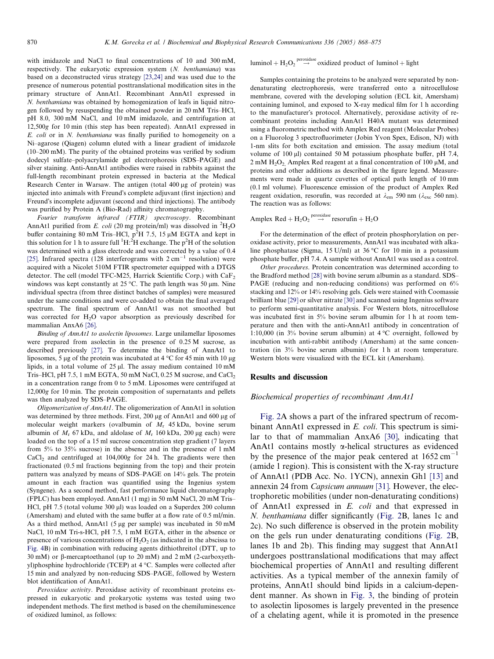with imidazole and NaCl to final concentrations of 10 and 300 mM, respectively. The eukaryotic expression system (N. benthamiana) was based on a deconstructed virus strategy [\[23,24\]](#page-6-0) and was used due to the presence of numerous potential posttranslational modification sites in the primary structure of AnnAt1. Recombinant AnnAt1 expressed in N. benthamiana was obtained by homogenization of leafs in liquid nitrogen followed by resuspending the obtained powder in 20 mM Tris–HCl, pH 8.0, 300 mM NaCl, and 10 mM imidazole, and centrifugation at 12,500g for 10 min (this step has been repeated). AnnAt1 expressed in E. coli or in N. benthamiana was finally purified to homogeneity on a Ni–agarose (Qiagen) column eluted with a linear gradient of imidazole (10–200 mM). The purity of the obtained proteins was verified by sodium dodecyl sulfate–polyacrylamide gel electrophoresis (SDS–PAGE) and silver staining. Anti-AnnAt1 antibodies were raised in rabbits against the full-length recombinant protein expressed in bacteria at the Medical Research Center in Warsaw. The antigen (total 400 ug of protein) was injected into animals with Freund's complete adjuvant (first injection) and Freund's incomplete adjuvant (second and third injections). The antibody was purified by Protein A (Bio-Rad) affinity chromatography.

Fourier transform infrared (FTIR) spectroscopy. Recombinant AnnAt1 purified from E. coli (20 mg protein/ml) was dissolved in  ${}^{2}H_{2}O$ buffer containing 80 mM Tris–HCl,  $p^2H$  7.5, 15 µM EGTA and kept in this solution for 1 h to assure full  $\rm ^1H.^2H$  exchange. The  $p^2H$  of the solution was determined with a glass electrode and was corrected by a value of 0.4 [\[25\].](#page-7-0) Infrared spectra (128 interferograms with  $2 \text{ cm}^{-1}$  resolution) were acquired with a Nicolet 510M FTIR spectrometer equipped with a DTGS detector. The cell (model TFC-M25, Harrick Scientific Corp.) with  $CaF<sub>2</sub>$ windows was kept constantly at 25 °C. The path length was 50  $\mu$ m. Nine individual spectra (from three distinct batches of samples) were measured under the same conditions and were co-added to obtain the final averaged spectrum. The final spectrum of AnnAt1 was not smoothed but was corrected for H2O vapor absorption as previously described for mammalian AnxA6 [\[26\]](#page-7-0).

Binding of AnnAt1 to asolectin liposomes. Large unilamellar liposomes were prepared from asolectin in the presence of 0.25 M sucrose, as described previously [\[27\].](#page-7-0) To determine the binding of AnnAt1 to liposomes, 5 µg of the protein was incubated at  $4^{\circ}$ C for 45 min with 10 µg lipids, in a total volume of  $25 \mu$ . The assay medium contained  $10 \text{ mM}$ Tris–HCl, pH 7.5, 1 mM EGTA, 50 mM NaCl, 0.25 M sucrose, and CaCl<sub>2</sub> in a concentration range from 0 to 5 mM. Liposomes were centrifuged at 12,000g for 10 min. The protein composition of supernatants and pellets was then analyzed by SDS–PAGE.

Oligomerization of AnnAt1. The oligomerization of AnnAt1 in solution was determined by three methods. First, 200 µg of AnnAt1 and 600 µg of molecular weight markers (ovalbumin of  $M_r$  45 kDa, bovine serum albumin of  $M_r$  67 kDa, and aldolase of  $M_r$  160 kDa, 200 µg each) were loaded on the top of a 15 ml sucrose concentration step gradient (7 layers from 5% to 35% sucrose) in the absence and in the presence of 1 mM  $CaCl<sub>2</sub>$  and centrifuged at  $104,000g$  for 24 h. The gradients were then fractionated (0.5 ml fractions beginning from the top) and their protein pattern was analyzed by means of SDS–PAGE on 14% gels. The protein amount in each fraction was quantified using the Ingenius system (Syngene). As a second method, fast performance liquid chromatography (FPLC) has been employed. AnnAt1 (1 mg) in 50 mM NaCl, 20 mM Tris– HCl, pH 7.5 (total volume 300 µl) was loaded on a Superdex 200 column (Amersham) and eluted with the same buffer at a flow rate of 0.5 ml/min. As a third method, AnnAt1 (5 µg per sample) was incubated in 50 mM NaCl, 10 mM Tri-s-HCl, pH 7.5, 1 mM EGTA, either in the absence or presence of various concentrations of  $H_2O_2$  (as indicated in the abscissa to [Fig. 4](#page-4-0)B) in combination with reducing agents dithiothreitol (DTT, up to 30 mM) or  $\beta$ -mercaptoethanol (up to 20 mM) and 2 mM (2-carboxyethyl)phosphine hydrochloride (TCEP) at 4 °C. Samples were collected after 15 min and analyzed by non-reducing SDS–PAGE, followed by Western blot identification of AnnAt1.

Peroxidase activity. Peroxidase activity of recombinant proteins expressed in eukaryotic and prokaryotic systems was tested using two independent methods. The first method is based on the chemiluminescence of oxidized luminol, as follows:

luminol + H<sub>2</sub>O<sub>2</sub>  $_{\text{peroxidase}}^{peroxidase}$  oxidized product of luminol + light

Samples containing the proteins to be analyzed were separated by nondenaturating electrophoresis, were transferred onto a nitrocellulose membrane, covered with the developing solution (ECL kit, Amersham) containing luminol, and exposed to X-ray medical film for 1 h according to the manufacturer's protocol. Alternatively, peroxidase activity of recombinant proteins including AnnAt1 H40A mutant was determined using a fluorometric method with Amplex Red reagent (Molecular Probes) on a Fluorolog 3 spectrofluorimeter (Jobin Yvon Spex, Edison, NJ) with 1-nm slits for both excitation and emission. The assay medium (total volume of  $100 \mu$ l) contained 50 M potassium phosphate buffer, pH 7.4,  $2 \text{ mM } H_2O_2$  Amplex Red reagent at a final concentration of 100  $\mu$ M, and proteins and other additions as described in the figure legend. Measurements were made in quartz cuvettes of optical path length of 10 mm (0.1 ml volume). Fluorescence emission of the product of Amplex Red reagent oxidation, resorufin, was recorded at  $\lambda_{\text{em}}$  590 nm ( $\lambda_{\text{exc}}$  560 nm). The reaction was as follows:

# Amplex  $Red + H_2O_2 \stackrel{peroxidase}{\rightarrow} resorufin + H_2O$

For the determination of the effect of protein phosphorylation on peroxidase activity, prior to measurements, AnnAt1 was incubated with alkaline phosphatase (Sigma, 15 U/ml) at 36 °C for 10 min in a potassium phosphate buffer, pH 7.4. A sample without AnnAt1 was used as a control.

Other procedures. Protein concentration was determined according to the Bradford method [\[28\]](#page-7-0) with bovine serum albumin as a standard. SDS– PAGE (reducing and non-reducing conditions) was performed on 6% stacking and 12% or 14% resolving gels. Gels were stained with Coomassie brilliant blue [\[29\]](#page-7-0) or silver nitrate [\[30\]](#page-7-0) and scanned using Ingenius software to perform semi-quantitative analysis. For Western blots, nitrocellulose was incubated first in 5% bovine serum albumin for 1 h at room temperature and then with the anti-AnnAt1 antibody in concentration of 1:10,000 (in 3% bovine serum albumin) at  $4^{\circ}$ C overnight, followed by incubation with anti-rabbit antibody (Amersham) at the same concentration (in 3% bovine serum albumin) for 1 h at room temperature. Western blots were visualized with the ECL kit (Amersham).

#### Results and discussion

#### Biochemical properties of recombinant AnnAt1

[Fig. 2](#page-3-0)A shows a part of the infrared spectrum of recombinant AnnAt1 expressed in E. coli. This spectrum is similar to that of mammalian AnxA6 [\[30\]](#page-7-0), indicating that AnAt1 contains mostly  $\alpha$ -helical structures as evidenced by the presence of the major peak centered at  $1652 \text{ cm}^{-1}$ (amide 1 region). This is consistent with the X-ray structure of AnnAt1 (PDB Acc. No. 1YCN), annexin Gh1 [\[13\]](#page-6-0) and annexin 24 from Capsicum annuum [\[31\]](#page-7-0). However, the electrophoretic mobilities (under non-denaturating conditions) of AnnAt1 expressed in E. coli and that expressed in N. benthamiana differ significantly [\(Fig. 2](#page-3-0)B, lanes 1c and 2c). No such difference is observed in the protein mobility on the gels run under denaturating conditions ([Fig. 2](#page-3-0)B, lanes 1b and 2b). This finding may suggest that AnnAt1 undergoes posttranslational modifications that may affect biochemical properties of AnnAt1 and resulting different activities. As a typical member of the annexin family of proteins, AnnAt1 should bind lipids in a calcium-dependent manner. As shown in [Fig. 3,](#page-3-0) the binding of protein to asolectin liposomes is largely prevented in the presence of a chelating agent, while it is promoted in the presence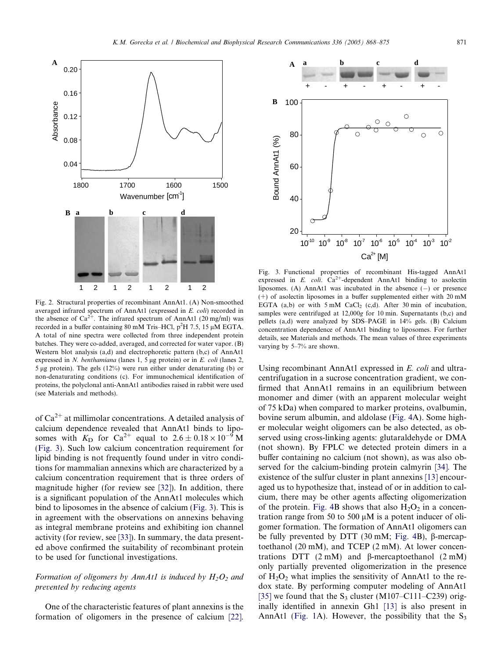<span id="page-3-0"></span>

Fig. 2. Structural properties of recombinant AnnAt1. (A) Non-smoothed averaged infrared spectrum of AnnAt1 (expressed in E. coli) recorded in the absence of  $Ca^{2+}$ . The infrared spectrum of AnnAt1 (20 mg/ml) was recorded in a buffer containing 80 mM Tris–HCl,  $p^2H$  7.5, 15 µM EGTA. A total of nine spectra were collected from three independent protein batches. They were co-added, averaged, and corrected for water vapor. (B) Western blot analysis (a,d) and electrophoretic pattern (b,c) of AnnAt1 expressed in N. benthamiana (lanes 1, 5  $\mu$ g protein) or in E. coli (lanes 2, 5 lg protein). The gels (12%) were run either under denaturating (b) or non-denaturating conditions (c). For immunochemical identification of proteins, the polyclonal anti-AnnAt1 antibodies raised in rabbit were used (see Materials and methods).

of  $Ca^{2+}$  at millimolar concentrations. A detailed analysis of calcium dependence revealed that AnnAt1 binds to liposomes with  $K<sub>D</sub>$  for Ca<sup>2+</sup> equal to 2.6  $\pm$  0.18  $\times$  10<sup>-9</sup> M (Fig. 3). Such low calcium concentration requirement for lipid binding is not frequently found under in vitro conditions for mammalian annexins which are characterized by a calcium concentration requirement that is three orders of magnitude higher (for review see [\[32\]](#page-7-0)). In addition, there is a significant population of the AnnAt1 molecules which bind to liposomes in the absence of calcium (Fig. 3). This is in agreement with the observations on annexins behaving as integral membrane proteins and exhibiting ion channel activity (for review, see [\[33\]\)](#page-7-0). In summary, the data presented above confirmed the suitability of recombinant protein to be used for functional investigations.

## Formation of oligomers by AnnAt1 is induced by  $H_2O_2$  and prevented by reducing agents

One of the characteristic features of plant annexins is the formation of oligomers in the presence of calcium [\[22\].](#page-6-0)



Fig. 3. Functional properties of recombinant His-tagged AnnAt1 expressed in E. coli.  $Ca^{2+}$ -dependent AnnAt1 binding to asolectin liposomes. (A) AnnAt1 was incubated in the absence  $(-)$  or presence  $(+)$  of asolectin liposomes in a buffer supplemented either with 20 mM EGTA (a,b) or with  $5 \text{ mM }$  CaCl<sub>2</sub> (c,d). After 30 min of incubation, samples were centrifuged at 12,000g for 10 min. Supernatants (b,c) and pellets (a,d) were analyzed by SDS–PAGE in 14% gels. (B) Calcium concentration dependence of AnnAt1 binding to liposomes. For further details, see Materials and methods. The mean values of three experiments varying by 5–7% are shown.

Using recombinant AnnAt1 expressed in E. coli and ultracentrifugation in a sucrose concentration gradient, we confirmed that AnnAt1 remains in an equilibrium between monomer and dimer (with an apparent molecular weight of 75 kDa) when compared to marker proteins, ovalbumin, bovine serum albumin, and aldolase [\(Fig. 4](#page-4-0)A). Some higher molecular weight oligomers can be also detected, as observed using cross-linking agents: glutaraldehyde or DMA (not shown). By FPLC we detected protein dimers in a buffer containing no calcium (not shown), as was also observed for the calcium-binding protein calmyrin [\[34\]](#page-7-0). The existence of the sulfur cluster in plant annexins [\[13\]](#page-6-0) encouraged us to hypothesize that, instead of or in addition to calcium, there may be other agents affecting oligomerization of the protein. [Fig. 4B](#page-4-0) shows that also  $H_2O_2$  in a concentration range from 50 to 500  $\mu$ M is a potent inducer of oligomer formation. The formation of AnnAt1 oligomers can be fully prevented by DTT (30 mM; [Fig. 4](#page-4-0)B),  $\beta$ -mercaptoethanol (20 mM), and TCEP (2 mM). At lower concentrations DTT  $(2 \text{ mM})$  and  $\beta$ -mercaptoethanol  $(2 \text{ mM})$ only partially prevented oligomerization in the presence of  $H_2O_2$  what implies the sensitivity of AnnAt1 to the redox state. By performing computer modeling of AnnAt1 [\[35\]](#page-7-0) we found that the  $S_3$  cluster (M107–C111–C239) originally identified in annexin Gh1 [\[13\]](#page-6-0) is also present in AnnAt1 ([Fig. 1A](#page-1-0)). However, the possibility that the  $S_3$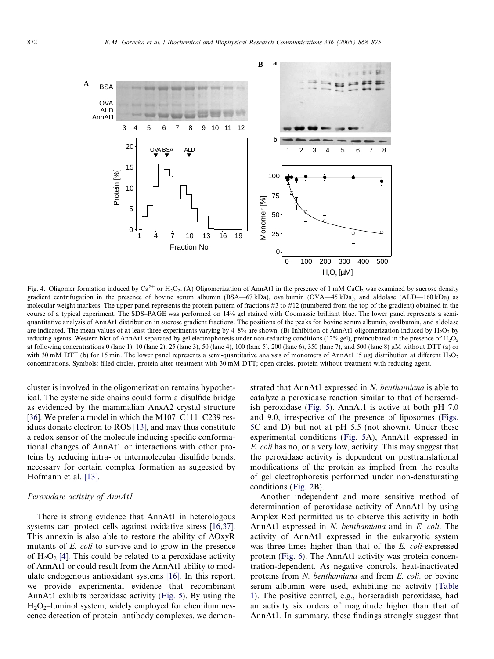<span id="page-4-0"></span>

Fig. 4. Oligomer formation induced by Ca<sup>2+</sup> or H<sub>2</sub>O<sub>2</sub>. (A) Oligomerization of AnnAt1 in the presence of 1 mM CaCl<sub>2</sub> was examined by sucrose density gradient centrifugation in the presence of bovine serum albumin (BSA—67 kDa), ovalbumin (OVA—45 kDa), and aldolase (ALD—160 kDa) as molecular weight markers. The upper panel represents the protein pattern of fractions #3 to #12 (numbered from the top of the gradient) obtained in the course of a typical experiment. The SDS–PAGE was performed on 14% gel stained with Coomassie brilliant blue. The lower panel represents a semiquantitative analysis of AnnAt1 distribution in sucrose gradient fractions. The positions of the peaks for bovine serum albumin, ovalbumin, and aldolase are indicated. The mean values of at least three experiments varying by  $4-8\%$  are shown. (B) Inhibition of AnnAt1 oligomerization induced by  $H_2O_2$  by reducing agents. Western blot of AnnAt1 separated by gel electrophoresis under non-reducing conditions (12% gel), preincubated in the presence of H<sub>2</sub>O<sub>2</sub> at following concentrations 0 (lane 1), 10 (lane 2), 25 (lane 3), 50 (lane 4), 100 (lane 5), 200 (lane 6), 350 (lane 7), and 500 (lane 8)  $\mu$ M without DTT (a) or with 30 mM DTT (b) for 15 min. The lower panel represents a semi-quantitative analysis of monomers of AnnAt1 (5 µg) distribution at different  $H_2O_2$ concentrations. Symbols: filled circles, protein after treatment with 30 mM DTT; open circles, protein without treatment with reducing agent.

cluster is involved in the oligomerization remains hypothetical. The cysteine side chains could form a disulfide bridge as evidenced by the mammalian AnxA2 crystal structure [\[36\]](#page-7-0). We prefer a model in which the M107–C111–C239 residues donate electron to ROS [\[13\]](#page-6-0), and may thus constitute a redox sensor of the molecule inducing specific conformational changes of AnnAt1 or interactions with other proteins by reducing intra- or intermolecular disulfide bonds, necessary for certain complex formation as suggested by Hofmann et al. [\[13\]](#page-6-0).

## Peroxidase activity of AnnAt1

There is strong evidence that AnnAt1 in heterologous systems can protect cells against oxidative stress [\[16,37\]](#page-6-0). This annexin is also able to restore the ability of  $\Delta$ OxyR mutants of E. coli to survive and to grow in the presence of  $H_2O_2$  [\[4\]](#page-6-0). This could be related to a peroxidase activity of AnnAt1 or could result from the AnnAt1 ability to modulate endogenous antioxidant systems [\[16\]](#page-6-0). In this report, we provide experimental evidence that recombinant AnnAt1 exhibits peroxidase activity ([Fig. 5](#page-5-0)). By using the  $H_2O_2$ –luminol system, widely employed for chemiluminescence detection of protein–antibody complexes, we demonstrated that AnnAt1 expressed in N. benthamiana is able to catalyze a peroxidase reaction similar to that of horseradish peroxidase ([Fig. 5](#page-5-0)). AnnAt1 is active at both pH 7.0 and 9.0, irrespective of the presence of liposomes ([Figs.](#page-5-0) [5C](#page-5-0) and D) but not at pH 5.5 (not shown). Under these experimental conditions [\(Fig. 5A](#page-5-0)), AnnAt1 expressed in E. coli has no, or a very low, activity. This may suggest that the peroxidase activity is dependent on posttranslational modifications of the protein as implied from the results of gel electrophoresis performed under non-denaturating conditions ([Fig. 2](#page-3-0)B).

Another independent and more sensitive method of determination of peroxidase activity of AnnAt1 by using Amplex Red permitted us to observe this activity in both AnnAt1 expressed in N. benthamiana and in E. coli. The activity of AnnAt1 expressed in the eukaryotic system was three times higher than that of the E. coli-expressed protein [\(Fig. 6](#page-5-0)). The AnnAt1 activity was protein concentration-dependent. As negative controls, heat-inactivated proteins from N. benthamiana and from E. coli, or bovine serum albumin were used, exhibiting no activity ([Table](#page-6-0) [1\)](#page-6-0). The positive control, e.g., horseradish peroxidase, had an activity six orders of magnitude higher than that of AnnAt1. In summary, these findings strongly suggest that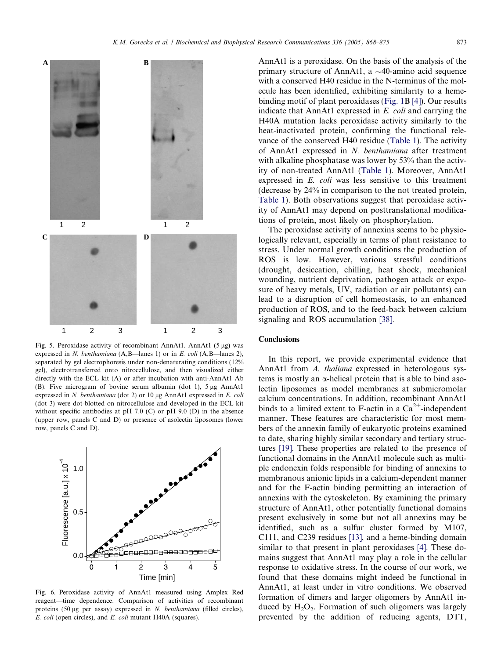<span id="page-5-0"></span>

Fig. 5. Peroxidase activity of recombinant AnnAt1. AnnAt1 (5  $\mu$ g) was expressed in N. benthamiana  $(A, B$ —lanes 1) or in E. coli  $(A, B$ —lanes 2), separated by gel electrophoresis under non-denaturating conditions (12% gel), electrotransferred onto nitrocellulose, and then visualized either directly with the ECL kit (A) or after incubation with anti-AnnAt1 Ab (B). Five microgram of bovine serum albumin (dot 1),  $5 \mu$ g AnnAt1 expressed in N. benthamiana (dot 2) or 10  $\mu$ g AnnAt1 expressed in E. coli (dot 3) were dot-blotted on nitrocellulose and developed in the ECL kit without specific antibodies at pH 7.0 (C) or pH 9.0 (D) in the absence (upper row, panels C and D) or presence of asolectin liposomes (lower row, panels C and D).



Fig. 6. Peroxidase activity of AnnAt1 measured using Amplex Red reagent—time dependence. Comparison of activities of recombinant proteins (50 µg per assay) expressed in N. benthamiana (filled circles), E. coli (open circles), and E. coli mutant H40A (squares).

AnnAt1 is a peroxidase. On the basis of the analysis of the primary structure of AnnAt1, a  $\sim$ 40-amino acid sequence with a conserved H40 residue in the N-terminus of the molecule has been identified, exhibiting similarity to a hemebinding motif of plant peroxidases [\(Fig. 1B](#page-1-0) [\[4\]](#page-6-0)). Our results indicate that AnnAt1 expressed in E. coli and carrying the H40A mutation lacks peroxidase activity similarly to the heat-inactivated protein, confirming the functional relevance of the conserved H40 residue [\(Table 1](#page-6-0)). The activity of AnnAt1 expressed in N. benthamiana after treatment with alkaline phosphatase was lower by 53% than the activity of non-treated AnnAt1 [\(Table 1\)](#page-6-0). Moreover, AnnAt1 expressed in E. coli was less sensitive to this treatment (decrease by 24% in comparison to the not treated protein, [Table 1](#page-6-0)). Both observations suggest that peroxidase activity of AnnAt1 may depend on posttranslational modifications of protein, most likely on phosphorylation.

The peroxidase activity of annexins seems to be physiologically relevant, especially in terms of plant resistance to stress. Under normal growth conditions the production of ROS is low. However, various stressful conditions (drought, desiccation, chilling, heat shock, mechanical wounding, nutrient deprivation, pathogen attack or exposure of heavy metals, UV, radiation or air pollutants) can lead to a disruption of cell homeostasis, to an enhanced production of ROS, and to the feed-back between calcium signaling and ROS accumulation [\[38\].](#page-7-0)

### **Conclusions**

In this report, we provide experimental evidence that AnnAt1 from A. thaliana expressed in heterologous systems is mostly an  $\alpha$ -helical protein that is able to bind asolectin liposomes as model membranes at submicromolar calcium concentrations. In addition, recombinant AnnAt1 binds to a limited extent to F-actin in a  $Ca^{2+}$ -independent manner. These features are characteristic for most members of the annexin family of eukaryotic proteins examined to date, sharing highly similar secondary and tertiary structures [\[19\].](#page-6-0) These properties are related to the presence of functional domains in the AnnAt1 molecule such as multiple endonexin folds responsible for binding of annexins to membranous anionic lipids in a calcium-dependent manner and for the F-actin binding permitting an interaction of annexins with the cytoskeleton. By examining the primary structure of AnnAt1, other potentially functional domains present exclusively in some but not all annexins may be identified, such as a sulfur cluster formed by M107, C111, and C239 residues [\[13\]](#page-6-0), and a heme-binding domain similar to that present in plant peroxidases [\[4\]](#page-6-0). These domains suggest that AnnAt1 may play a role in the cellular response to oxidative stress. In the course of our work, we found that these domains might indeed be functional in AnnAt1, at least under in vitro conditions. We observed formation of dimers and larger oligomers by AnnAt1 induced by  $H_2O_2$ . Formation of such oligomers was largely prevented by the addition of reducing agents, DTT,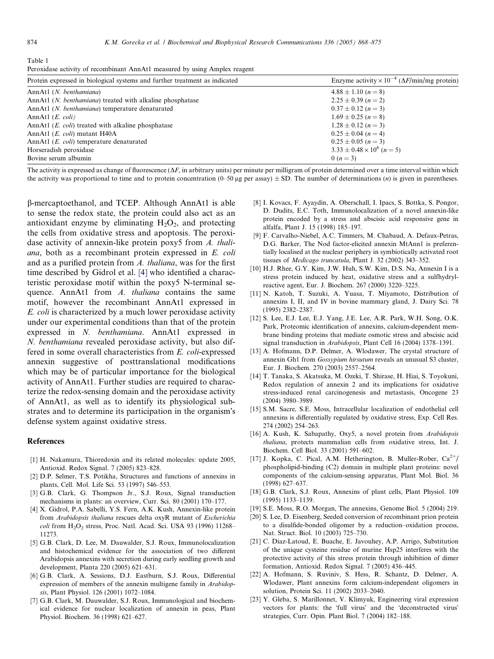<span id="page-6-0"></span>

| Table 1                                                                    |  |
|----------------------------------------------------------------------------|--|
| Peroxidase activity of recombinant AnnAt1 measured by using Amplex reagent |  |

| Protein expressed in biological systems and further treatment as indicated | Enzyme activity $\times 10^{-4}$ ( $\Delta F$ /min/mg protein) |
|----------------------------------------------------------------------------|----------------------------------------------------------------|
| AnnAt1 (N. benthamiana)                                                    | $4.88 \pm 1.10$ (n = 8)                                        |
| AnnAt1 (N. benthamiana) treated with alkaline phosphatase                  | $2.25 \pm 0.39$ (n = 2)                                        |
| AnnAt1 (N. benthamiana) temperature denaturated                            | $0.37 \pm 0.12$ (n = 3)                                        |
| AnnAtl $(E. \text{ coli})$                                                 | $1.69 \pm 0.25$ (n = 8)                                        |
| AnnAt1 $(E. \text{ coli})$ treated with alkaline phosphatase               | $1.28 \pm 0.12$ (n = 3)                                        |
| AnnAt1 ( <i>E. coli</i> ) mutant H40A                                      | $0.25 \pm 0.04$ (n = 4)                                        |
| AnnAt1 ( <i>E. coli</i> ) temperature denaturated                          | $0.25 \pm 0.05$ (n = 3)                                        |
| Horseradish peroxidase                                                     | $3.33 \pm 0.48 \times 10^6$ (n = 5)                            |
| Bovine serum albumin                                                       | 0 $(n=3)$                                                      |

The activity is expressed as change of fluorescence  $(\Delta F)$ , in arbitrary units) per minute per milligram of protein determined over a time interval within which the activity was proportional to time and to protein concentration  $(0-50 \mu g$  per assay)  $\pm$  SD. The number of determinations (*n*) is given in parentheses.

b-mercaptoethanol, and TCEP. Although AnnAt1 is able to sense the redox state, the protein could also act as an antioxidant enzyme by eliminating  $H_2O_2$ , and protecting the cells from oxidative stress and apoptosis. The peroxidase activity of annexin-like protein poxy5 from A. thaliana, both as a recombinant protein expressed in E. coli and as a purified protein from A. thaliana, was for the first time described by Gidrol et al. [4] who identified a characteristic peroxidase motif within the poxy5 N-terminal sequence. AnnAt1 from A. thaliana contains the same motif, however the recombinant AnnAt1 expressed in E. coli is characterized by a much lower peroxidase activity under our experimental conditions than that of the protein expressed in N. benthamiana. AnnAt1 expressed in N. benthamiana revealed peroxidase activity, but also differed in some overall characteristics from E. coli-expressed annexin suggestive of posttranslational modifications which may be of particular importance for the biological activity of AnnAt1. Further studies are required to characterize the redox-sensing domain and the peroxidase activity of AnnAt1, as well as to identify its physiological substrates and to determine its participation in the organism's defense system against oxidative stress.

#### References

- [1] H. Nakamura, Thioredoxin and its related molecules: update 2005, Antioxid. Redox Signal. 7 (2005) 823–828.
- [2] D.P. Selmer, T.S. Potikha, Structures and functions of annexins in plants, Cell. Mol. Life Sci. 53 (1997) 546–553.
- [3] G.B. Clark, G. Thompson Jr., S.J. Roux, Signal transduction mechanisms in plants: an overview, Curr. Sci. 80 (2001) 170–177.
- [4] X. Gidrol, P.A. Sabelli, Y.S. Fern, A.K. Kush, Annexin-like protein from Arabidopsis thaliana rescues delta oxyR mutant of Escherichia  $\text{coli}$  from  $\text{H}_2\text{O}_2$  stress, Proc. Natl. Acad. Sci. USA 93 (1996) 11268– 11273.
- [5] G.B. Clark, D. Lee, M. Dauwalder, S.J. Roux, Immunolocalization and histochemical evidence for the association of two different Arabidopsis annexins with secretion during early seedling growth and development, Planta 220 (2005) 621–631.
- [6] G.B. Clark, A. Sessions, D.J. Eastburn, S.J. Roux, Differential expression of members of the annexin multigene family in Arabidopsis, Plant Physiol. 126 (2001) 1072–1084.
- [7] G.B. Clark, M. Dauwalder, S.J. Roux, Immunological and biochemical evidence for nuclear localization of annexin in peas, Plant Physiol. Biochem. 36 (1998) 621–627.
- [8] I. Kovacs, F. Ayaydin, A. Oberschall, I. Ipacs, S. Bottka, S. Pongor, D. Dudits, E.C. Toth, Immunolocalization of a novel annexin-like protein encoded by a stress and abscisic acid responsive gene in alfalfa, Plant J. 15 (1998) 185–197.
- [9] F. Carvalho-Niebel, A.C. Timmers, M. Chabaud, A. Defaux-Petras, D.G. Barker, The Nod factor-elicited annexin MtAnn1 is preferentially localised at the nuclear periphery in symbiotically activated root tissues of Medicago truncatula, Plant J. 32 (2002) 343–352.
- [10] H.J. Rhee, G.Y. Kim, J.W. Huh, S.W. Kim, D.S. Na, Annexin I is a stress protein induced by heat, oxidative stress and a sulfhydrylreactive agent, Eur. J. Biochem. 267 (2000) 3220–3225.
- [11] N. Katoh, T. Suzuki, A. Yuasa, T. Miyamoto, Distribution of annexins I, II, and IV in bovine mammary gland, J. Dairy Sci. 78 (1995) 2382–2387.
- [12] S. Lee, E.J. Lee, E.J. Yang, J.E. Lee, A.R. Park, W.H. Song, O.K. Park, Proteomic identification of annexins, calcium-dependent membrane binding proteins that mediate osmotic stress and abscisic acid signal transduction in Arabidopsis, Plant Cell 16 (2004) 1378–1391.
- [13] A. Hofmann, D.P. Delmer, A. Wlodawer, The crystal structure of annexin Gh1 from Gossypium hirsutum reveals an unusual S3 cluster, Eur. J. Biochem. 270 (2003) 2557–2564.
- [14] T. Tanaka, S. Akatsuka, M. Ozeki, T. Shirase, H. Hiai, S. Toyokuni, Redox regulation of annexin 2 and its implications for oxidative stress-induced renal carcinogenesis and metastasis, Oncogene 23 (2004) 3980–3989.
- [15] S.M. Sacre, S.E. Moss, Intracellular localization of endothelial cell annexins is differentially regulated by oxidative stress, Exp. Cell Res. 274 (2002) 254–263.
- [16] A. Kush, K. Sabapathy, Oxy5, a novel protein from Arabidopsis thaliana, protects mammalian cells from oxidative stress, Int. J. Biochem. Cell Biol. 33 (2001) 591–602.
- [17] J. Kopka, C. Pical, A.M. Hetherington, B. Muller-Rober,  $Ca^{2+}/$ phospholipid-binding (C2) domain in multiple plant proteins: novel components of the calcium-sensing apparatus, Plant Mol. Biol. 36 (1998) 627–637.
- [18] G.B. Clark, S.J. Roux, Annexins of plant cells, Plant Physiol. 109 (1995) 1133–1139.
- [19] S.E. Moss, R.O. Morgan, The annexins, Genome Biol. 5 (2004) 219.
- [20] S. Lee, D. Eisenberg, Seeded conversion of recombinant prion protein to a disulfide-bonded oligomer by a reduction–oxidation process, Nat. Struct. Biol. 10 (2003) 725–730.
- [21] C. Diaz-Latoud, E. Buache, E. Javouhey, A.P. Arrigo, Substitution of the unique cysteine residue of murine Hsp25 interferes with the protective activity of this stress protein through inhibition of dimer formation, Antioxid. Redox Signal. 7 (2005) 436–445.
- [22] A. Hofmann, S. Ruviniv, S. Hess, R. Schantz, D. Delmer, A. Wlodawer, Plant annexins form calcium-independent oligomers in solution, Protein Sci. 11 (2002) 2033–2040.
- [23] Y. Gleba, S. Marillonnet, V. Klimyuk, Engineering viral expression vectors for plants: the 'full virus' and the 'deconstructed virus' strategies, Curr. Opin. Plant Biol. 7 (2004) 182–188.